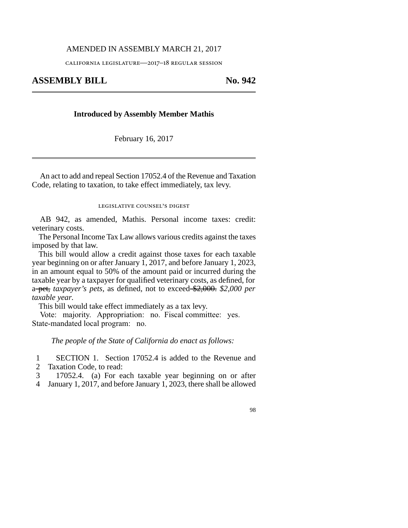## AMENDED IN ASSEMBLY MARCH 21, 2017

california legislature—2017–18 regular session

## **ASSEMBLY BILL No. 942**

## **Introduced by Assembly Member Mathis**

February 16, 2017

An act to add and repeal Section 17052.4 of the Revenue and Taxation Code, relating to taxation, to take effect immediately, tax levy.

legislative counsel's digest

AB 942, as amended, Mathis. Personal income taxes: credit: veterinary costs.

The Personal Income Tax Law allows various credits against the taxes imposed by that law.

This bill would allow a credit against those taxes for each taxable year beginning on or after January 1, 2017, and before January 1, 2023, in an amount equal to 50% of the amount paid or incurred during the taxable year by a taxpayer for qualified veterinary costs, as defined, for a pet, *taxpayer's pets,* as defined, not to exceed \$2,000. *\$2,000 per taxable year.*

This bill would take effect immediately as a tax levy.

Vote: majority. Appropriation: no. Fiscal committee: yes. State-mandated local program: no.

*The people of the State of California do enact as follows:*

1 SECTION 1. Section 17052.4 is added to the Revenue and

2 Taxation Code, to read:

3 17052.4. (a) For each taxable year beginning on or after

4 January 1, 2017, and before January 1, 2023, there shall be allowed

98